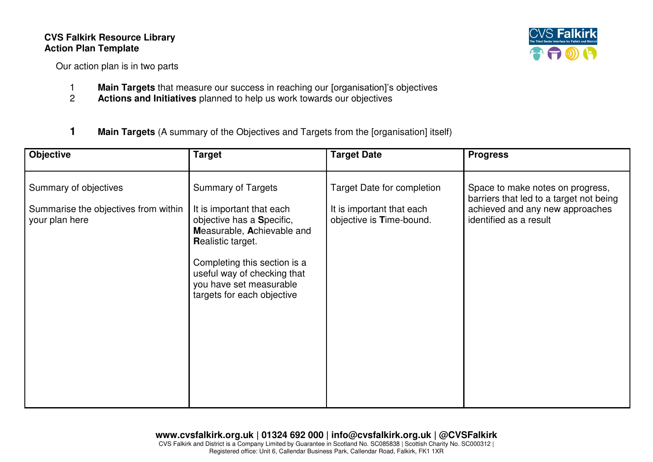## **CVS Falkirk Resource Library Action Plan Template**

CVS **Fall** 

Our action plan is in two parts

- 1 **Main Targets** that measure our success in reaching our [organisation]'s objectives<br>2 **Actions and Initiatives** planned to help us work towards our objectives
- 2 **Actions and Initiatives** planned to help us work towards our objectives
- **1 Main Targets** (A summary of the Objectives and Targets from the [organisation] itself)

| <b>Objective</b>                                                                | <b>Target</b>                                                                                                                                                                                                                                                         | <b>Target Date</b>                                                                  | <b>Progress</b>                                                                                                                          |
|---------------------------------------------------------------------------------|-----------------------------------------------------------------------------------------------------------------------------------------------------------------------------------------------------------------------------------------------------------------------|-------------------------------------------------------------------------------------|------------------------------------------------------------------------------------------------------------------------------------------|
| Summary of objectives<br>Summarise the objectives from within<br>your plan here | <b>Summary of Targets</b><br>It is important that each<br>objective has a Specific,<br>Measurable, Achievable and<br><b>Realistic target.</b><br>Completing this section is a<br>useful way of checking that<br>you have set measurable<br>targets for each objective | Target Date for completion<br>It is important that each<br>objective is Time-bound. | Space to make notes on progress,<br>barriers that led to a target not being<br>achieved and any new approaches<br>identified as a result |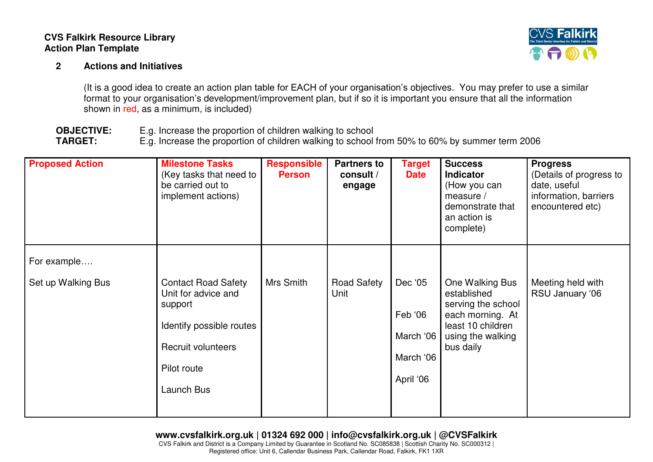## **CVS Falkirk Resource Library Action Plan Template**

## **2 Actions and Initiatives**



(It is a good idea to create an action plan table for EACH of your organisation's objectives. You may prefer to use a similar format to your organisation's development/improvement plan, but if so it is important you ensure that all the information shown in red, as a minimum, is included)

**OBJECTIVE:** E.g. Increase the proportion of children walking to school<br> **TARGET:** E.g. Increase the proportion of children walking to school E.g. Increase the proportion of children walking to school from 50% to 60% by summer term 2006

| <b>Proposed Action</b>            | <b>Milestone Tasks</b><br>(Key tasks that need to<br>be carried out to<br>implement actions)                                                | <b>Responsible</b><br><b>Person</b> | <b>Partners to</b><br>consult /<br>engage | Target<br><b>Date</b>                                     | <b>Success</b><br><b>Indicator</b><br>(How you can<br>measure /<br>demonstrate that<br>an action is<br>complete)                | <b>Progress</b><br>(Details of progress to<br>date, useful<br>information, barriers<br>encountered etc) |
|-----------------------------------|---------------------------------------------------------------------------------------------------------------------------------------------|-------------------------------------|-------------------------------------------|-----------------------------------------------------------|---------------------------------------------------------------------------------------------------------------------------------|---------------------------------------------------------------------------------------------------------|
| For example<br>Set up Walking Bus | <b>Contact Road Safety</b><br>Unit for advice and<br>support<br>Identify possible routes<br>Recruit volunteers<br>Pilot route<br>Launch Bus | Mrs Smith                           | <b>Road Safety</b><br>Unit                | Dec '05<br>Feb '06<br>March '06<br>March '06<br>April '06 | One Walking Bus<br>established<br>serving the school<br>each morning. At<br>least 10 children<br>using the walking<br>bus daily | Meeting held with<br>RSU January '06                                                                    |